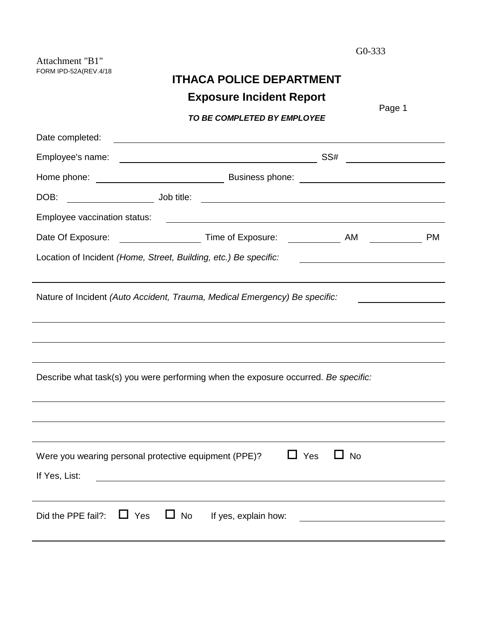Attachment "B1" FORM IPD-52A(REV.4/18

| <b>ITHACA POLICE DEPARTMENT</b> |  |
|---------------------------------|--|
| <b>Exposure Incident Report</b> |  |

|                                                                  | ------                                                                                                                 | Page 1                    |
|------------------------------------------------------------------|------------------------------------------------------------------------------------------------------------------------|---------------------------|
|                                                                  | TO BE COMPLETED BY EMPLOYEE                                                                                            |                           |
| Date completed:                                                  | <u> 1989 - Johann Stoff, deutscher Stoffen und der Stoffen und der Stoffen und der Stoffen und der Stoffen und der</u> |                           |
|                                                                  |                                                                                                                        | SS# _____________________ |
|                                                                  |                                                                                                                        |                           |
| DOB:                                                             |                                                                                                                        |                           |
|                                                                  |                                                                                                                        |                           |
|                                                                  |                                                                                                                        | <b>PM</b>                 |
| Location of Incident (Home, Street, Building, etc.) Be specific: |                                                                                                                        |                           |
|                                                                  | Nature of Incident (Auto Accident, Trauma, Medical Emergency) Be specific:                                             |                           |
|                                                                  |                                                                                                                        |                           |
|                                                                  |                                                                                                                        |                           |
|                                                                  | Describe what task(s) you were performing when the exposure occurred. Be specific:                                     |                           |
|                                                                  |                                                                                                                        |                           |
|                                                                  |                                                                                                                        |                           |
| Were you wearing personal protective equipment (PPE)?            | Yes                                                                                                                    | No                        |
| If Yes, List:                                                    |                                                                                                                        |                           |
|                                                                  |                                                                                                                        |                           |
| $\Box$ Yes<br>Did the PPE fail?:                                 | $\Box$ No<br>If yes, explain how:                                                                                      |                           |
|                                                                  |                                                                                                                        |                           |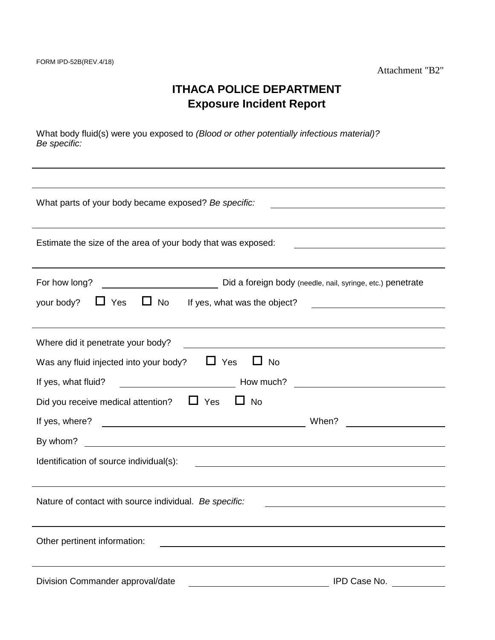# **ITHACA POLICE DEPARTMENT Exposure Incident Report**

What body fluid(s) were you exposed to *(Blood or other potentially infectious material)? Be specific:*

| What parts of your body became exposed? Be specific:            |                                                                                                                        |  |  |  |  |
|-----------------------------------------------------------------|------------------------------------------------------------------------------------------------------------------------|--|--|--|--|
|                                                                 |                                                                                                                        |  |  |  |  |
| Estimate the size of the area of your body that was exposed:    |                                                                                                                        |  |  |  |  |
|                                                                 |                                                                                                                        |  |  |  |  |
| For how long?                                                   | Did a foreign body (needle, nail, syringe, etc.) penetrate                                                             |  |  |  |  |
| your body? $\Box$ Yes<br>$\Box$ No If yes, what was the object? |                                                                                                                        |  |  |  |  |
|                                                                 |                                                                                                                        |  |  |  |  |
| Where did it penetrate your body?                               | <u> 1989 - Johann Stoff, deutscher Stoffen und der Stoffen und der Stoffen und der Stoffen und der Stoffen und de</u>  |  |  |  |  |
| $\Box$ Yes<br>Was any fluid injected into your body?            | $\Box$ No                                                                                                              |  |  |  |  |
| If yes, what fluid?<br><b>Marshall</b> How much?                |                                                                                                                        |  |  |  |  |
| Did you receive medical attention? $\Box$ Yes                   | $\Box$ No                                                                                                              |  |  |  |  |
|                                                                 | When?<br><u> 1999 - Jan Barbara III, martx</u>                                                                         |  |  |  |  |
| By whom?                                                        |                                                                                                                        |  |  |  |  |
| Identification of source individual(s):                         | <u> 1989 - Johann Stoff, deutscher Stoffen und der Stoffen und der Stoffen und der Stoffen und der Stoffen und der</u> |  |  |  |  |
|                                                                 |                                                                                                                        |  |  |  |  |
| Nature of contact with source individual. Be specific:          |                                                                                                                        |  |  |  |  |
|                                                                 |                                                                                                                        |  |  |  |  |
| Other pertinent information:                                    | <u> 1980 - Johann Barn, fransk politik (f. 1980)</u>                                                                   |  |  |  |  |
|                                                                 |                                                                                                                        |  |  |  |  |
| Division Commander approval/date                                | IPD Case No.                                                                                                           |  |  |  |  |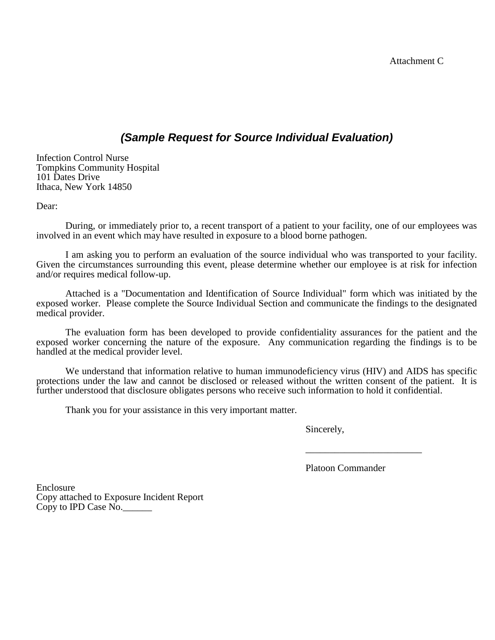### *(Sample Request for Source Individual Evaluation)*

Infection Control Nurse Tompkins Community Hospital 101 Dates Drive Ithaca, New York 14850

Dear:

During, or immediately prior to, a recent transport of a patient to your facility, one of our employees was involved in an event which may have resulted in exposure to a blood borne pathogen.

I am asking you to perform an evaluation of the source individual who was transported to your facility. Given the circumstances surrounding this event, please determine whether our employee is at risk for infection and/or requires medical follow-up.

Attached is a "Documentation and Identification of Source Individual" form which was initiated by the exposed worker. Please complete the Source Individual Section and communicate the findings to the designated medical provider.

The evaluation form has been developed to provide confidentiality assurances for the patient and the exposed worker concerning the nature of the exposure. Any communication regarding the findings is to be handled at the medical provider level.

We understand that information relative to human immunodeficiency virus (HIV) and AIDS has specific protections under the law and cannot be disclosed or released without the written consent of the patient. It is further understood that disclosure obligates persons who receive such information to hold it confidential.

Thank you for your assistance in this very important matter.

Sincerely,

Platoon Commander

\_\_\_\_\_\_\_\_\_\_\_\_\_\_\_\_\_\_\_\_\_\_\_\_

Enclosure Copy attached to Exposure Incident Report Copy to IPD Case No.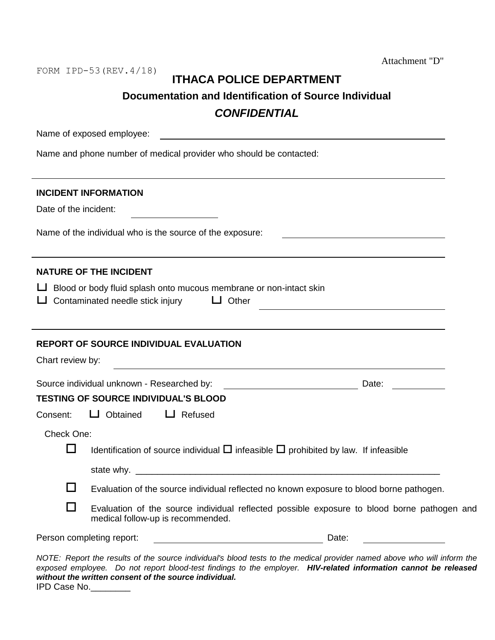Attachment "D"

FORM IPD-53(REV.4/18)

### **ITHACA POLICE DEPARTMENT**

**Documentation and Identification of Source Individual**

## *CONFIDENTIAL*

| Name of exposed employee:<br><u> 1980 - Andrea Stadt Britain, fransk politik (d. 1980)</u>                                                                                                                                                 |
|--------------------------------------------------------------------------------------------------------------------------------------------------------------------------------------------------------------------------------------------|
| Name and phone number of medical provider who should be contacted:                                                                                                                                                                         |
|                                                                                                                                                                                                                                            |
| <b>INCIDENT INFORMATION</b>                                                                                                                                                                                                                |
| Date of the incident:                                                                                                                                                                                                                      |
| Name of the individual who is the source of the exposure:                                                                                                                                                                                  |
| <b>NATURE OF THE INCIDENT</b>                                                                                                                                                                                                              |
| $\Box$ Blood or body fluid splash onto mucous membrane or non-intact skin                                                                                                                                                                  |
| Contaminated needle stick injury $\Box$ Other                                                                                                                                                                                              |
|                                                                                                                                                                                                                                            |
| <b>REPORT OF SOURCE INDIVIDUAL EVALUATION</b>                                                                                                                                                                                              |
| Chart review by:                                                                                                                                                                                                                           |
| Source individual unknown - Researched by:<br>Date: <u>_____</u>                                                                                                                                                                           |
| <b>TESTING OF SOURCE INDIVIDUAL'S BLOOD</b>                                                                                                                                                                                                |
| $\Box$ Obtained<br>$\Box$ Refused<br>Consent:                                                                                                                                                                                              |
| Check One:                                                                                                                                                                                                                                 |
| Identification of source individual $\Box$ infeasible $\Box$ prohibited by law. If infeasible<br>⊔                                                                                                                                         |
|                                                                                                                                                                                                                                            |
| Evaluation of the source individual reflected no known exposure to blood borne pathogen.                                                                                                                                                   |
| - 1<br>Evaluation of the source individual reflected possible exposure to blood borne pathogen and<br>medical follow-up is recommended.                                                                                                    |
| Person completing report:<br>Date:<br><u> 1989 - Johann Barn, mars ar breithinn ar chomhair an t-Alban ann an t-Alban ann an t-Alban ann an t-Alban an</u>                                                                                 |
| NOTE: Report the results of the source individual's blood tests to the medical provider named above who will inform the<br>exposed employee. Do not report blood-test findings to the employer. HIV-related information cannot be released |

*without the written consent of the source individual.* IPD Case No.\_\_\_\_\_\_\_\_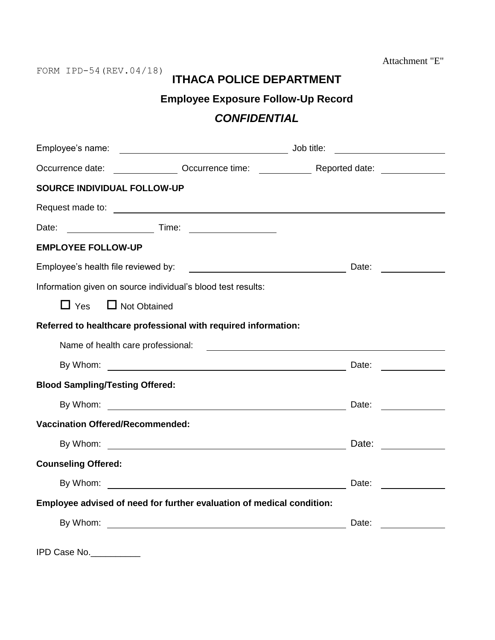Attachment "E"

# **ITHACA POLICE DEPARTMENT**

### **Employee Exposure Follow-Up Record**

## *CONFIDENTIAL*

|                                         |                                                                                                                            | Job title:                                                                                                                                                                                                                           | <u> 1989 - Johann Marie Barn, mars a</u>                                                                               |
|-----------------------------------------|----------------------------------------------------------------------------------------------------------------------------|--------------------------------------------------------------------------------------------------------------------------------------------------------------------------------------------------------------------------------------|------------------------------------------------------------------------------------------------------------------------|
|                                         |                                                                                                                            | Occurrence date: Cocurrence time: Cocurrence time: Reported date:                                                                                                                                                                    |                                                                                                                        |
| <b>SOURCE INDIVIDUAL FOLLOW-UP</b>      |                                                                                                                            |                                                                                                                                                                                                                                      |                                                                                                                        |
|                                         |                                                                                                                            | Request made to: <u>example and the set of the set of the set of the set of the set of the set of the set of the set of the set of the set of the set of the set of the set of the set of the set of the set of the set of the s</u> |                                                                                                                        |
| Date:                                   |                                                                                                                            |                                                                                                                                                                                                                                      |                                                                                                                        |
| <b>EMPLOYEE FOLLOW-UP</b>               |                                                                                                                            |                                                                                                                                                                                                                                      |                                                                                                                        |
|                                         |                                                                                                                            | Date:                                                                                                                                                                                                                                | <u>and a strong part of the strong part of the strong part of the strong part of the strong part of the strong par</u> |
|                                         | Information given on source individual's blood test results:                                                               |                                                                                                                                                                                                                                      |                                                                                                                        |
| $\Box$ Yes                              | $\Box$ Not Obtained                                                                                                        |                                                                                                                                                                                                                                      |                                                                                                                        |
|                                         | Referred to healthcare professional with required information:                                                             |                                                                                                                                                                                                                                      |                                                                                                                        |
|                                         |                                                                                                                            |                                                                                                                                                                                                                                      |                                                                                                                        |
| By Whom:                                |                                                                                                                            | Date:                                                                                                                                                                                                                                |                                                                                                                        |
| <b>Blood Sampling/Testing Offered:</b>  |                                                                                                                            |                                                                                                                                                                                                                                      |                                                                                                                        |
|                                         | By Whom: Date:                                                                                                             |                                                                                                                                                                                                                                      |                                                                                                                        |
| <b>Vaccination Offered/Recommended:</b> |                                                                                                                            |                                                                                                                                                                                                                                      |                                                                                                                        |
|                                         |                                                                                                                            |                                                                                                                                                                                                                                      |                                                                                                                        |
| <b>Counseling Offered:</b>              |                                                                                                                            |                                                                                                                                                                                                                                      |                                                                                                                        |
| By Whom:                                | <u>and the contract of the contract of the contract of the contract of the contract of the contract of the contract of</u> | Date:                                                                                                                                                                                                                                |                                                                                                                        |
|                                         | Employee advised of need for further evaluation of medical condition:                                                      |                                                                                                                                                                                                                                      |                                                                                                                        |
|                                         |                                                                                                                            | Date:                                                                                                                                                                                                                                |                                                                                                                        |
|                                         |                                                                                                                            |                                                                                                                                                                                                                                      |                                                                                                                        |

IPD Case No.\_\_\_\_\_\_\_\_\_\_